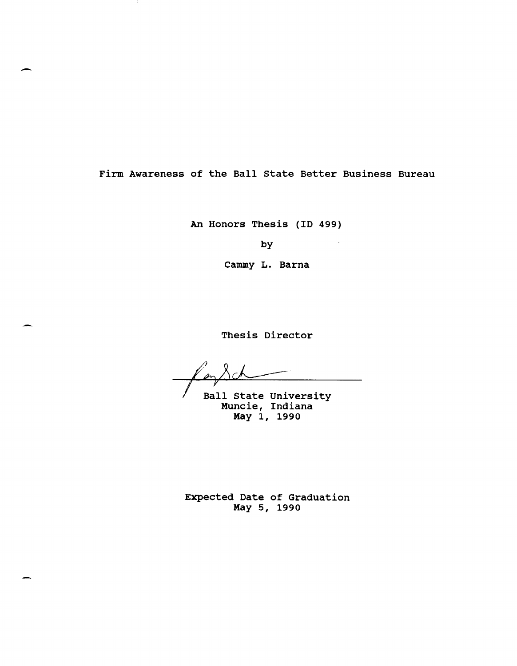Firm Awareness of the Ball state Better Business Bureau

-

An Honors Thesis (ID 499)

by

Cammy L. Barna

Thesis Director

Ball State University Muncie, Indiana May 1, 1990

Expected Date of Graduation May 5, 1990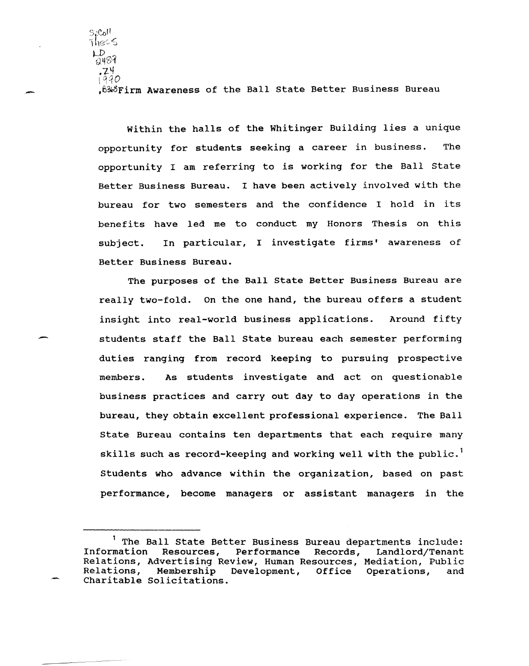.B~BFirm Awareness of the Ball state Better Business Bureau

-

 $\mathsf{S} \mathfrak{g} \mathsf{C} \mathfrak{o} \mathsf{H}$  .  $7$ hec $\leq$ \_D<br>2487 .-z.Y  $1990$ 

-

Within the halls of the Whitinger Building lies a unique opportunity for students seeking a career in business. The opportunity I am referring to is working for the Ball state Better Business Bureau. I have been actively involved with the bureau for two semesters and the confidence I hold in its benefits have led me to conduct my Honors Thesis on this subject. In particular, I investigate firms' awareness of Better Business Bureau.

The purposes of the Ball state Better Business Bureau are really two-fold. On the one hand, the bureau offers a student insight into real-world business applications. Around fifty students staff the Ball state bureau each semester performing duties ranging from record keeping to pursuing prospective members. As stUdents investigate and act on questionable business practices and carry out day to day operations in the bureau, they obtain excellent professional experience. The Ball state Bureau contains ten departments that each require many skills such as record-keeping and working well with the public.<sup>1</sup> Students who advance within the organization, based on past performance, become managers or assistant managers in the

<sup>&</sup>lt;sup>1</sup> The Ball State Better Business Bureau departments include:<br>Information Resources, Performance Records, Landlord/Tenant Landlord/Tenant Relations, Advertising Review, Human Resources, Mediation, Public Membership Development, Office Operations, and Charitable Solicitations.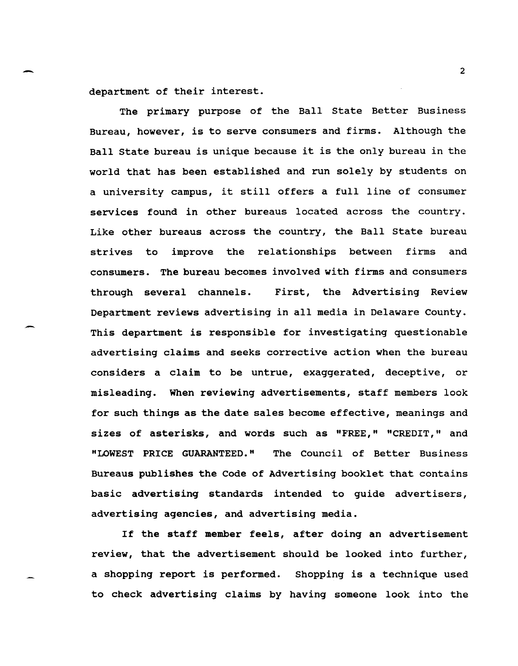department of their interest.

-

--

The primary purpose of the Ball state Better Business Bureau, however, is to serve consumers and firms. Although the Ball state bureau is unique because it is the only bureau in the world that has been established and run solely by students on a university campus, it still offers a full line of consumer services found in other bureaus located across the country. Like other bureaus across the country, the Ball state bureau strives to improve the relationships between firms and consumers. The bureau becomes involved with firms and consumers through several channels. First, the Advertising Review Department reviews advertising in all media in Delaware county. This department is responsible for investigating questionable advertising claims and seeks corrective action when the bureau considers a claim to be untrue, exaggerated, deceptive, or misleading. When reviewing advertisements, staff members look for such things as the date sales become effective, meanings and sizes of asterisks, and words such as "FREE," "CREDIT," and "LOWEST PRICE GUARANTEED." The Council of Better Business Bureaus publishes the Code of Advertising booklet that contains basic advertising standards intended to guide advertisers, advertising agencies, and advertising media.

If the staff member feels, after doing an advertisement review, that the advertisement should be looked into further, a shopping report is performed. Shopping is a technique used to check advertising claims by having someone look into the

2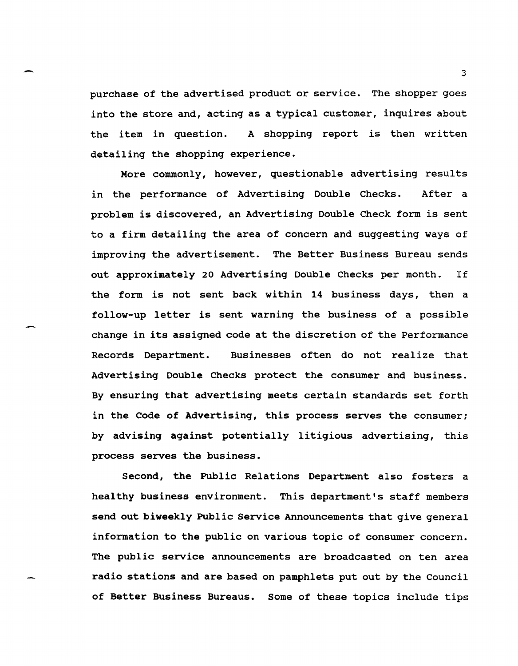purchase of the advertised product or service. The shopper goes into the store and, acting as a typical customer, inquires about the item in question. A shopping report is then written detailing the shopping experience.

-

--

More commonly, however, questionable advertising results in the performance of Advertising Double Checks. After a problem is discovered, an Advertising Double Check form is sent to a firm detailing the area of concern and suggesting ways of improving the advertisement. The Better Business Bureau sends out approximately 20 Advertising Double Checks per month. If the form is not sent back within 14 business days, then a follow-up letter is sent warning the business of a possible change in its assigned code at the discretion of the Performance Records Department. Businesses often do not realize that Advertising Double Checks protect the consumer and business. By ensuring that advertising meets certain standards set forth in the Code of Advertising, this process serves the consumer; by advising against potentially litigious advertising, this process serves the business.

Second, the Public Relations Department also fosters a healthy business environment. This department's staff members send out biweekly Public Service Announcements that give general information to the public on various topic of consumer concern. The public service announcements are broadcasted on ten area radio stations and are based on pamphlets put out by the council of Better Business Bureaus. Some of these topics include tips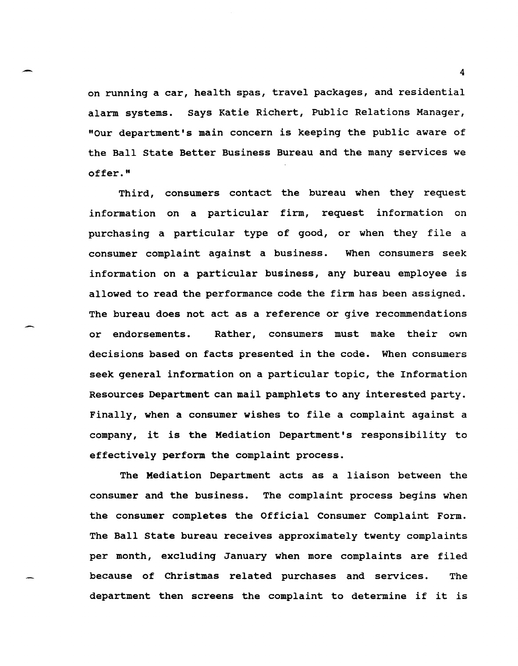on running a car, health spas, travel packages, and residential alarm systems. Says Katie Richert, Public Relations Manager, "Our department's main concern is keeping the public aware of the Ball State Better Business Bureau and the many services we offer."

Third, consumers contact the bureau when they request information on a particular firm, request information on purchasing a particular type of good, or when they file a consumer complaint against a business. When consumers seek information on a particular business, any bureau employee is allowed to read the performance code the firm has been assigned. The bureau does not act as a reference or give recommendations or endorsements. Rather, consumers must make their own decisions based on facts presented in the code. When consumers seek general information on a particular topic, the Information Resources Department can mail pamphlets to any interested party. Finally, when a consumer wishes to file a complaint against a company, it is the Mediation Department's responsibility to effectively perform the complaint process.

The Mediation Department acts as a liaison between the consumer and the business. The complaint process begins when the consumer completes the Official Consumer Complaint Form. The Ball State bureau receives approximately twenty complaints per month, excluding January when more complaints are filed because of Christmas related purchases and services. The department then screens the complaint to determine if it is

 $\overline{4}$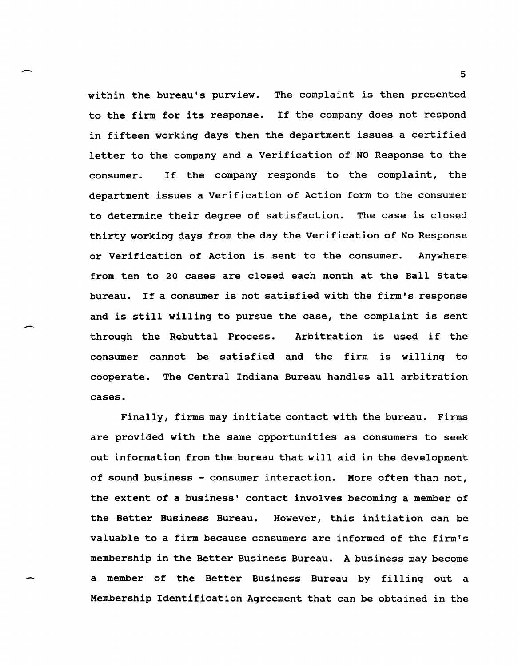within the bureau's purview. to the firm for its response. If the company does not respond The complaint is then presented in fifteen working days then the department issues a certified letter to the company and a Verification of NO Response to the consumer. If the company responds to the complaint, the department issues a Verification of Action form to the consumer to determine their degree of satisfaction. The case is closed thirty working days from the day the Verification of No Response or Verification of Action is sent to the consumer. Anywhere from ten to 20 cases are closed each month at the Ball state bureau. If a consumer is not satisfied with the firm's response and is still willing to pursue the case, the complaint is sent through the Rebuttal Process. Arbitration is used if the consumer cannot be satisfied and the firm is willing to cooperate. The Central Indiana Bureau handles all arbitration cases.

Finally, firms may initiate contact with the bureau. Firms are provided with the same opportunities as consumers to seek out information from the bureau that will aid in the development of sound business - consumer interaction. More often than not, the extent of a business' contact involves becoming a member of the Better Business Bureau. However, this initiation can be valuable to a firm because consumers are informed of the firm's membership in the Better Business Bureau. A business may become a member of the Better Business Bureau by filling out a Membership Identification Agreement that can be obtained in the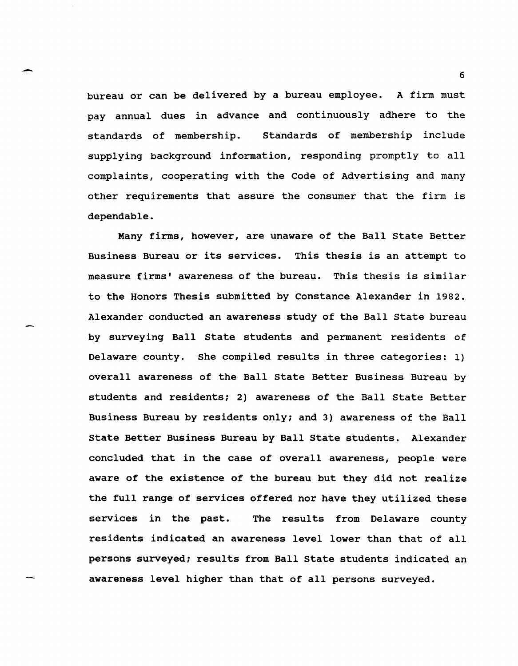bureau or can be delivered by a bureau employee. A firm must pay annual dues in advance and continuously adhere to the standards of membership. standards of membership include supplying background information, responding promptly to all complaints, cooperating with the Code of Advertising and many other requirements that assure the consumer that the firm is dependable.

-

Many firms, however, are unaware of the Ball state Better Business Bureau or its services. This thesis is an attempt to measure firms' awareness of the bureau. This thesis is similar to the Honors Thesis submitted by Constance Alexander in 1982. Alexander conducted an awareness study of the Ball state bureau by surveying Ball state students and permanent residents of Delaware county. She compiled results in three categories: 1) overall awareness of the Ball State Better Business Bureau by students and residents; 2) awareness of the Ball State Better Business Bureau by residents only; and 3) awareness of the Ball State Better Business Bureau by Ball State students. Alexander concluded that in the case of overall awareness, people were aware of the existence of the bureau but they did not realize the full range of services offered nor have they utilized these services in the past. The results from Delaware county residents indicated an awareness level lower than that of all persons surveyed; results from Ball State students indicated an awareness level higher than that of all persons surveyed.

6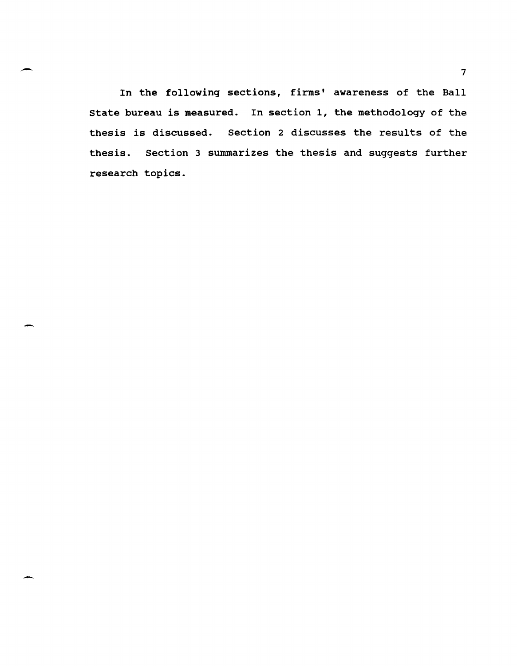In the following sections, firms' awareness of the Ball state bureau is measured. In section 1, the methodology of the thesis is discussed. Section 2 discusses the results of the thesis. section 3 summarizes the thesis and suggests further research topics.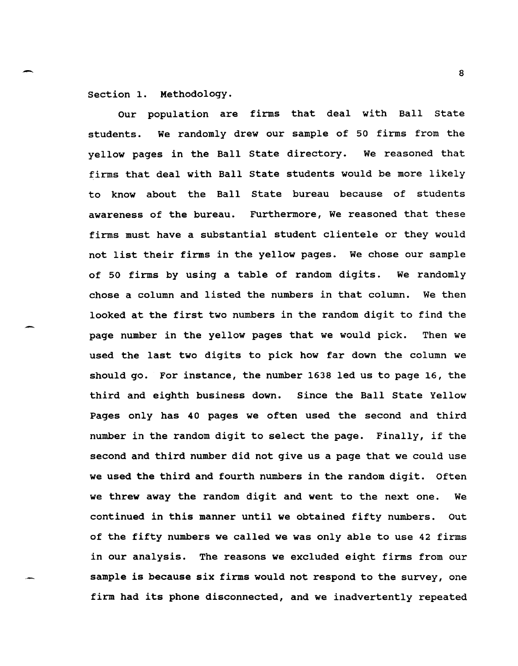section 1. Methodology.

Our population are firms that deal with Ball state students. We randomly drew our sample of 50 firms from the yellow pages in the Ball state directory. We reasoned that firms that deal with Ball state students would be more likely to know about the Ball state bureau because of students awareness of the bureau. Furthermore, We reasoned that these firms must have a substantial student clientele or they would not list their firms in the yellow pages. We chose our sample of 50 firms by using a table of random digits. We randomly chose a column and listed the numbers in that column. We then looked at the first two numbers in the random digit to find the page number in the yellow pages that we would pick. Then we used the last two digits to pick how far down the column we should go. For instance, the number 1638 led us to page 16, the third and eighth business down. Since the Ball State Yellow Pages only has 40 pages we often used the second and third number in the random digit to select the page. Finally, if the second and third number did not give us a page that we could use we used the third and fourth numbers in the random digit. Often we threw away the random digit and went to the next one. We continued in this manner until we obtained fifty numbers. Out of the fifty numbers we called we was only able to use 42 firms in our analysis. The reasons we excluded eight firms from our sample is because six firms would not respond to the survey, one firm had its phone disconnected, and we inadvertently repeated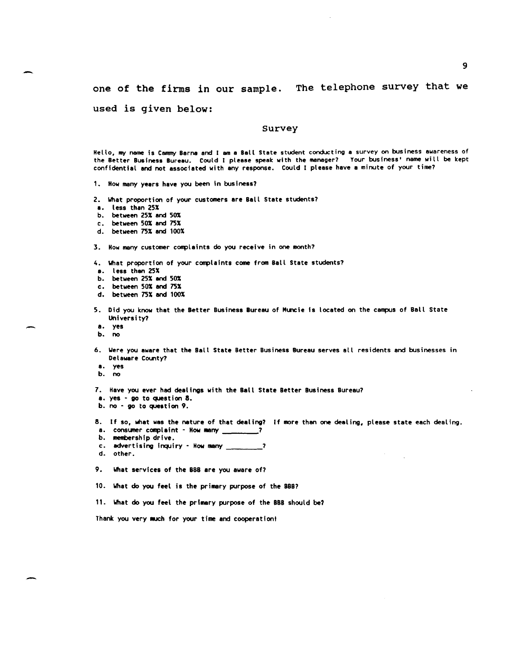one of the firms in our sample. The telephone survey that we

## used is given below:

## survey

Hello, my name is Cammy Barna and I am a Ball State student conducting a survey on business awareness of the Better Business Bureau. Could I please speak with the manager? Your business' name will be kept confidential and not associated with any response. Could I please have a minute of your time?

1. How many years have you been in business?

2. What proportion of your customers are Ball State students?

a. less than 25%

b. between 25% and 50%

c. between 50% and 75%

d. between 75% and 100%

3. How many customer complaints do you receive in one month?

4. What proportion of your complaints come from Ball State students?

a. less than 25%

b. between 25% and 50%

c. between 50% and 75%

d. between 75% and 100%

5. Did you know that the Better Business Bureau of Muncie Is located on the campus of Ball State University?

a. yes

b. no

6. Were you aware that the Ball State Better Business Bureau serves all residents and businesses in Delaware County?

a. yes

b. no

-

7. Have you ever had dealings with the Ball State Better Business Bureau?

a. yes - go to question 8.

b. no - go to question 9.

8. If so, what was the nature of that dealing? If more than one dealing, please state each dealing.

a. consumer complaint - How many \_\_\_\_\_\_\_\_?

- b. membership drive.
- c. advertising inquiry How many \_\_\_\_\_\_\_?
- d. other.
- 9. What services of the BBB are you aware of?

10. What do you feel is the primary purpose of the BBI1

11. What do you feel the primary purpose of the BBB should be?

Thank you very MUCh for your time and cooperationl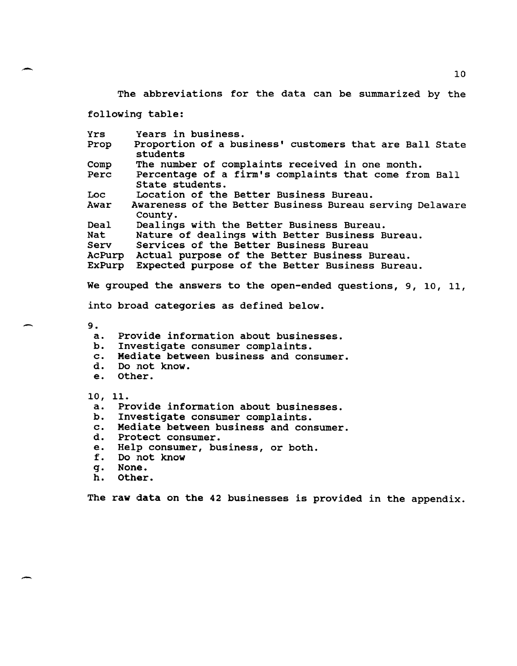The abbreviations for the data can be summarized by the

following table:

| <b>Yrs</b><br>Prop | Years in business.<br>Proportion of a business' customers that are Ball State<br>students |  |  |  |  |  |  |  |  |
|--------------------|-------------------------------------------------------------------------------------------|--|--|--|--|--|--|--|--|
| Comp               | The number of complaints received in one month.                                           |  |  |  |  |  |  |  |  |
| Perc               | Percentage of a firm's complaints that come from Ball                                     |  |  |  |  |  |  |  |  |
|                    | State students.                                                                           |  |  |  |  |  |  |  |  |
| Loc                | Location of the Better Business Bureau.                                                   |  |  |  |  |  |  |  |  |
| Awar               | Awareness of the Better Business Bureau serving Delaware                                  |  |  |  |  |  |  |  |  |
|                    | County.                                                                                   |  |  |  |  |  |  |  |  |
| Deal               | Dealings with the Better Business Bureau.                                                 |  |  |  |  |  |  |  |  |
| Nat                | Nature of dealings with Better Business Bureau.                                           |  |  |  |  |  |  |  |  |
| Serv               | Services of the Better Business Bureau                                                    |  |  |  |  |  |  |  |  |
| AcPurp             | Actual purpose of the Better Business Bureau.                                             |  |  |  |  |  |  |  |  |
| ExPurp             | Expected purpose of the Better Business Bureau.                                           |  |  |  |  |  |  |  |  |
|                    |                                                                                           |  |  |  |  |  |  |  |  |

We grouped the answers to the open-ended questions, 9, 10, 11,

into broad categories as defined below.

9.

--

-

- a. Provide information about businesses.
- b. Investigate consumer complaints.<br>c. Mediate between business and con
- c. Mediate between business and consumer.
- d. Do not know.
- Other.
- 10, 11.
- a. Provide information about businesses.<br>b. Investigate consumer complaints.
- b. Investigate consumer complaints.<br>c. Mediate between business and con
- c. Mediate between business and consumer.<br>d. Protect consumer.
- Protect consumer.
- e. Help consumer, business, or both.<br>f. Do not know
- f. Do not know
- g. None.
- h. Other.

The raw data on the 42 businesses is provided in the appendix.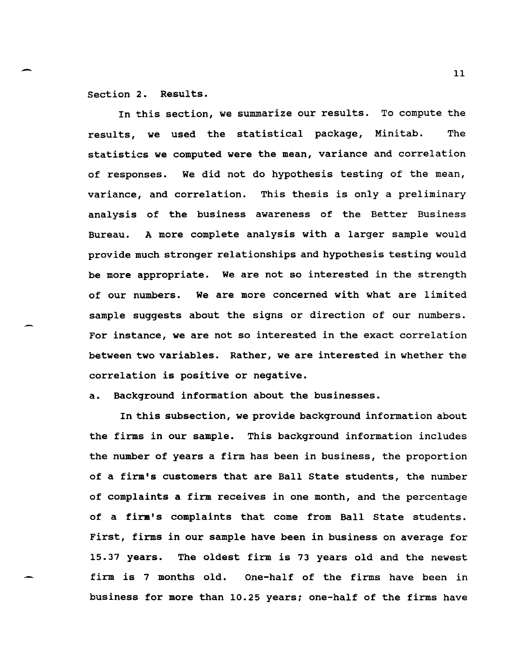section 2. Results.

In this section, we summarize our results. To compute the results, we used the statistical package, Minitab. The statistics we computed were the mean, variance and correlation of responses. We did not do hypothesis testing of the mean, variance, and correlation. This thesis is only a preliminary analysis of the business awareness of the Better Business Bureau. A more complete analysis with a larger sample would provide much stronger relationships and hypothesis testing would be more appropriate. We are not so interested in the strength of our numbers. We are more concerned with what are limited sample suggests about the signs or direction of our numbers. For instance, we are not so interested in the exact correlation between two variables. Rather, we are interested in whether the correlation is positive or negative.

a. Background information about the businesses.

In this subsection, we provide background information about the firms in our sample. This background information includes the number of years a firm has been in business, the proportion of a firm's customers that are Ball state students, the number of complaints a firm receives in one month, and the percentage of a firm's complaints that come from Ball state students. First, firms in our sample have been in business on average for 15.37 years. The oldest firm is 73 years old and the newest firm is 7 months old. One-half of the firms have been in business for more than 10.25 years; one-half of the firms have

 $\sim$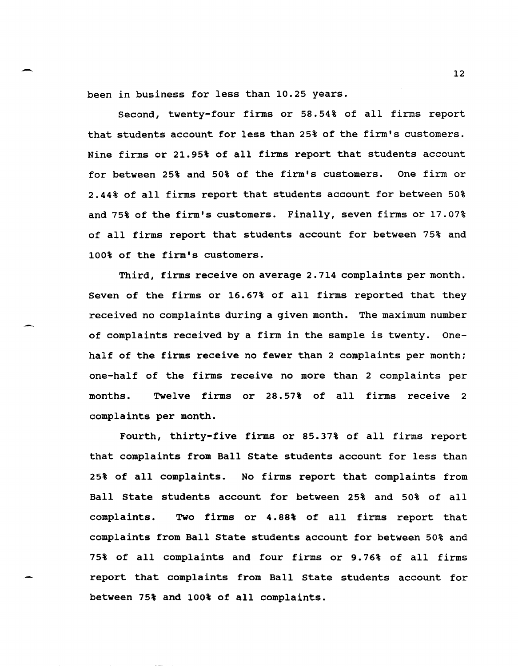been in business for less than 10.25 years.

Second, twenty-four firms or 58.54% of all firms report that students account for less than 25% of the firm's customers. Nine firms or 21.95% of all firms report that students account for between 25% and 50% of the firm's customers. One firm or 2.44% of all firms report that students account for between 50% and 75% of the firm's customers. Finally, seven firms or 17.07% of all firms report that students account for between 75% and 100% of the firm's customers.

Third, firms receive on average 2.714 complaints per month. Seven of the firms or 16.67% of all firms reported that they received no complaints during a given month. The maximum number of complaints received by a firm in the sample is twenty. Onehalf of the firms receive no fewer than 2 complaints per month; one-half of the firms receive no more than 2 complaints per months. Twelve firms or 28.57% of all firms receive 2 complaints per month.

Fourth, thirty-five firms or 85.37% of all firms report that complaints from Ball State students account for less than 25% of all complaints. No firms report that complaints from Ball state students account for between 25% and 50% of all complaints. Two firms or 4.88% of all firms report that complaints from Ball State students account for between 50% and 75% of all complaints and four firms or 9.76% of all firms report that complaints from Ball State students account for between 75% and 100% of all complaints.

 $\sim$  12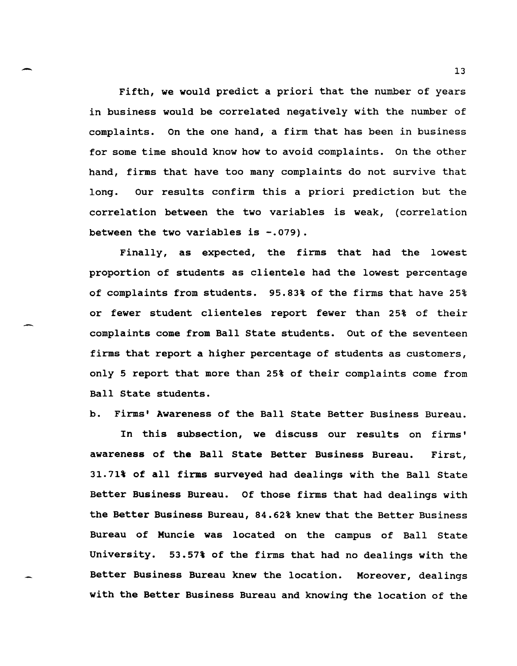Fifth, we would predict a priori that the number of years in business would be correlated negatively with the number of complaints. On the one hand, a firm that has been in business for some time should know how to avoid complaints. On the other hand, firms that have too many complaints do not survive that long. Our results confirm this a priori prediction but the correlation between the two variables is weak, (correlation between the two variables is -.079).

Finally, as expected, the firms that had the lowest proportion of students as clientele had the lowest percentage of complaints from students. 95.83% of the firms that have 25% or fewer student clienteles report fewer than 25% of their complaints come from Ball state students. Out of the seventeen firms that report a higher percentage of students as customers, only 5 report that more than 25% of their complaints come from Ball state students.

b. Firms' Awareness of the Ball state Better Business Bureau.

In this subsection, we discuss our results on firms' awareness of the Ball state Better Business Bureau. First, 31.71% of all firms surveyed had dealings with the Ball state Better Business Bureau. Of those firms that had dealings with the Better Business Bureau, 84.62% knew that the Better Business Bureau of Muncie was located on the campus of Ball state university. 53.57% of the firms that had no dealings with the Better Business Bureau knew the location. Moreover, dealings with the Better Business Bureau and knowing the location of the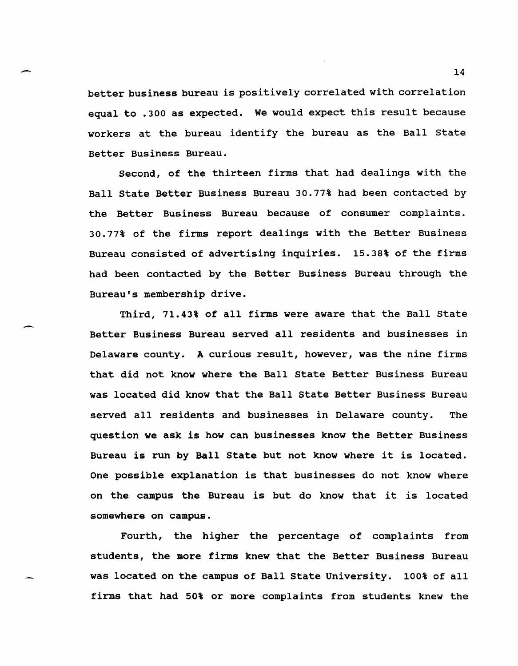better business bureau is positively correlated with correlation equal to .300 as expected. We would expect this result because workers at the bureau identify the bureau as the Ball state Better Business Bureau.

-

-

Second, of the thirteen firms that had dealings with the Ball State Better Business Bureau 30.77% had been contacted by the Better Business Bureau because of consumer complaints. 30.77% of the firms report dealings with the Better Business Bureau consisted of advertising inquiries. 15.38% of the firms had been contacted by the Better Business Bureau through the Bureau's membership drive.

Third, 71.43% of all firms were aware that the Ball State Better Business Bureau served all residents and businesses in Delaware county. A curious result, however, was the nine firms that did not know where the Ball State Better Business Bureau was located did know that the Ball State Better Business Bureau served all residents and businesses in Delaware county. The question we ask is how can businesses know the Better Business Bureau is run by Ball State but not know where it is located. One possible explanation is that businesses do not know where on the campus the Bureau is but do know that it is located somewhere on campus.

Fourth, the higher the percentage of complaints from students, the more firms knew that the Better Business Bureau was located on the campus of Ball State University. 100% of all firms that had 50% or more complaints from students knew the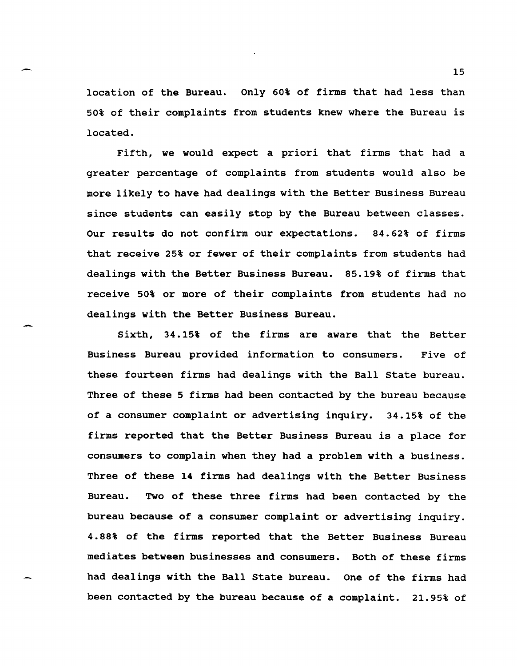location of the Bureau. Only 60% of firms that had less than 50% of their complaints from students knew where the Bureau is located.

Fifth, we would expect a priori that firms that had a greater percentage of complaints from students would also be more likely to have had dealings with the Better Business Bureau since students can easily stop by the Bureau between classes. Our results do not confirm our expectations. 84.62% of firms that receive 25% or fewer of their complaints from students had dealings with the Better Business Bureau. 85.19% of firms that receive 50% or more of their complaints from students had no dealings with the Better Business Bureau.

Sixth, 34.15% of the firms are aware that the Better Business Bureau provided information to consumers. Five of these fourteen firms had dealings with the Ball State bureau. Three of these 5 firms had been contacted by the bureau because of a consumer complaint or advertising inquiry. 34.15% of the firms reported that the Better Business Bureau is a place for consumers to complain when they had a problem with a business. Three of these 14 firms had dealings with the Better Business Bureau. Two of these three firms had been contacted by the bureau because of a consumer complaint or advertising inquiry. 4.88% of the firms reported that the Better Business Bureau mediates between businesses and consumers. Both of these firms had dealings with the Ball State bureau. One of the firms had been contacted by the bureau because of a complaint. 21.95% of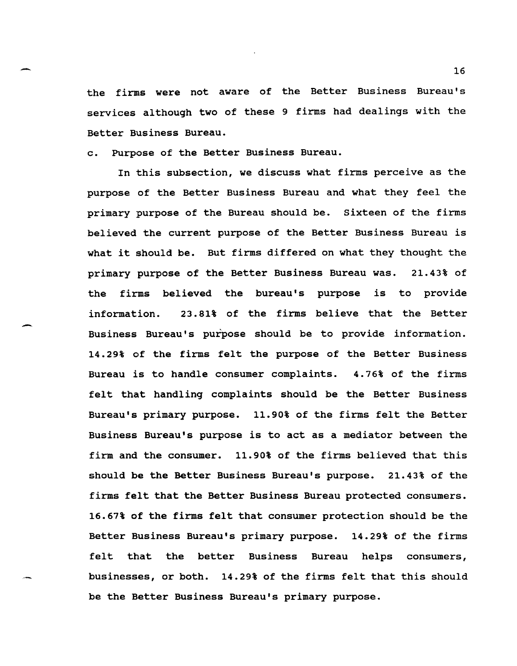the firms were not aware of the Better Business Bureau's services although two of these 9 firms had dealings with the Better Business Bureau.

c. Purpose of the Better Business Bureau.

-

In this subsection, we discuss what firms perceive as the purpose of the Better Business Bureau and what they feel the primary purpose of the Bureau should be. sixteen of the firms believed the current purpose of the Better Business Bureau is what it should be. But firms differed on what they thought the primary purpose of the Better Business Bureau was. 21.43% of the firms believed the bureau's purpose is to provide information. 23.81% of the firms believe that the Better Business Bureau's purpose should be to provide information. 14.29% of the firms felt the purpose of the Better Business Bureau is to handle consumer complaints. 4.76% of the firms felt that handling complaints should be the Better Business Bureau's primary purpose. 11.90% of the firms felt the Better Business Bureau's purpose is to act as a mediator between the firm and the consumer. 11.90% of the firms believed that this should be the Better Business Bureau's purpose. 21.43% of the firms felt that the Better Business Bureau protected consumers. 16.67% of the firms felt that consumer protection should be the Better Business Bureau's primary purpose. 14.29% of the firms felt that the better Business Bureau helps consumers, businesses, or both. 14.29% of the firms felt that this should be the Better Business Bureau's primary purpose.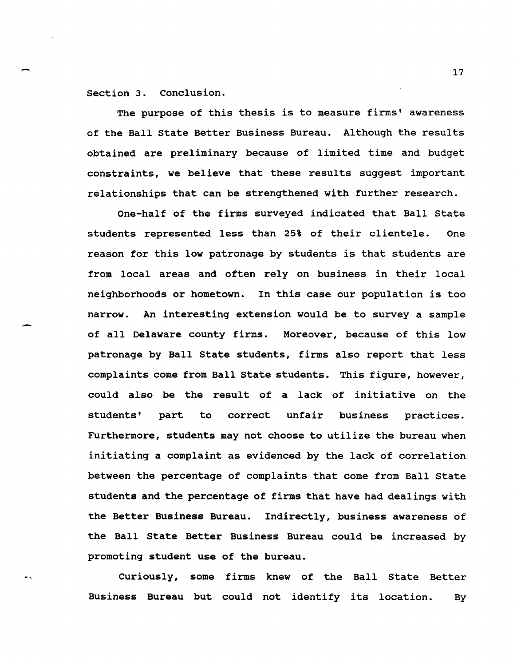section 3. Conclusion.

--

The purpose of this thesis is to measure firms' awareness of the Ball state Better Business Bureau. Although the results obtained are preliminary because of limited time and budget constraints, we believe that these results suggest important relationships that can be strengthened with further research.

One-half of the firms surveyed indicated that Ball state students represented less than 25% of their clientele. One reason for this low patronage by students is that students are from local areas and often rely on business in their local neighborhoods or hometown. In this case our population is too narrow. An interesting extension would be to survey a sample of all Delaware county firms. Moreover, because of this low patronage by Ball State students, firms also report that less complaints come from Ball state students. This figure, however, could also be the result of a lack of initiative on the students' part to correct unfair business practices. Furthermore, students may not choose to utilize the bureau when initiating a complaint as evidenced by the lack of correlation between the percentage of complaints that come from Ball state students and the percentage of firms that have had dealings with the Better Business Bureau. Indirectly, business awareness of the Ball state Better Business Bureau could be increased by promoting student use of the bureau.

Curiously, some firms knew of the Ball state Better Business Bureau but could not identify its location. By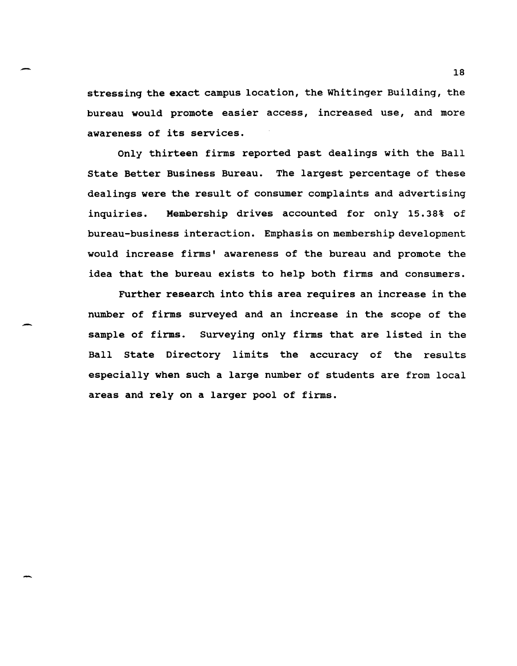stressing the exact campus location, the Whitinger Building, the bureau would promote easier access, increased use, and more awareness of its services.

-

-

Only thirteen firms reported past dealings with the Ball state Better Business Bureau. The largest percentage of these dealings were the result of consumer complaints and advertising inquiries. Membership drives accounted for only 15.38% of bureau-business interaction. Emphasis on membership development would increase firms' awareness of the bureau and promote the idea that the bureau exists to help both firms and consumers.

Further research into this area requires an increase in the number of firms surveyed and an increase in the scope of the sample of firms. Surveying only firms that are listed in the Ball State Directory limits the accuracy of the results especially when such a large number of students are from local areas and rely on a larger pool of firms.

18